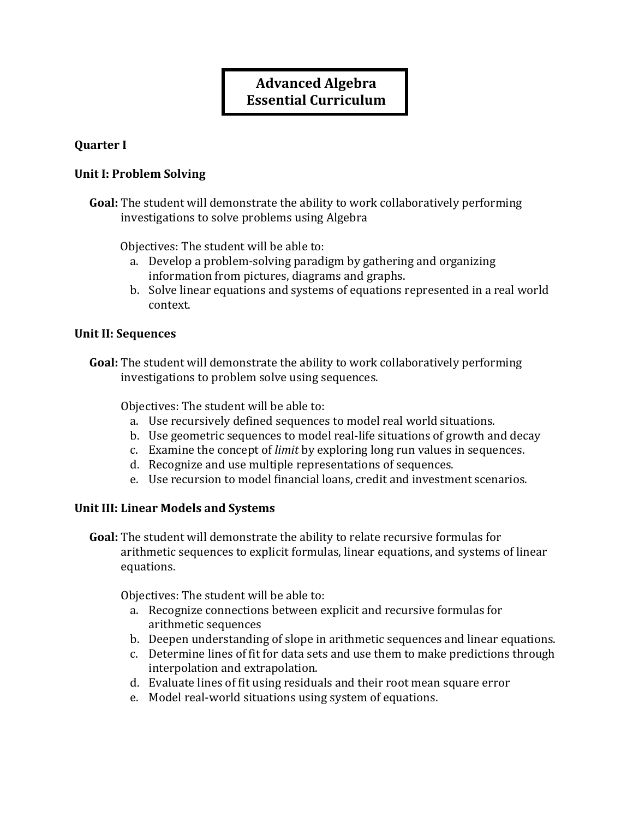# **Advanced(Algebra Essential Curriculum**

#### **Quarter** I

#### **Unit I: Problem Solving**

**Goal:** The student will demonstrate the ability to work collaboratively performing investigations to solve problems using Algebra

Objectives: The student will be able to:

- a. Develop a problem-solving paradigm by gathering and organizing information from pictures, diagrams and graphs.
- b. Solve linear equations and systems of equations represented in a real world context.

#### **Unit II: Sequences**

**Goal:** The student will demonstrate the ability to work collaboratively performing investigations to problem solve using sequences.

Objectives: The student will be able to:

- a. Use recursively defined sequences to model real world situations.
- b. Use geometric sequences to model real-life situations of growth and decay
- c. Examine the concept of *limit* by exploring long run values in sequences.
- d. Recognize and use multiple representations of sequences.
- e. Use recursion to model financial loans, credit and investment scenarios.

#### Unit III: Linear Models and Systems

**Goal:** The student will demonstrate the ability to relate recursive formulas for arithmetic sequences to explicit formulas, linear equations, and systems of linear equations.

Objectives: The student will be able to:

- a. Recognize connections between explicit and recursive formulas for arithmetic sequences
- b. Deepen understanding of slope in arithmetic sequences and linear equations.
- c. Determine lines of fit for data sets and use them to make predictions through interpolation and extrapolation.
- d. Evaluate lines of fit using residuals and their root mean square error
- e. Model real-world situations using system of equations.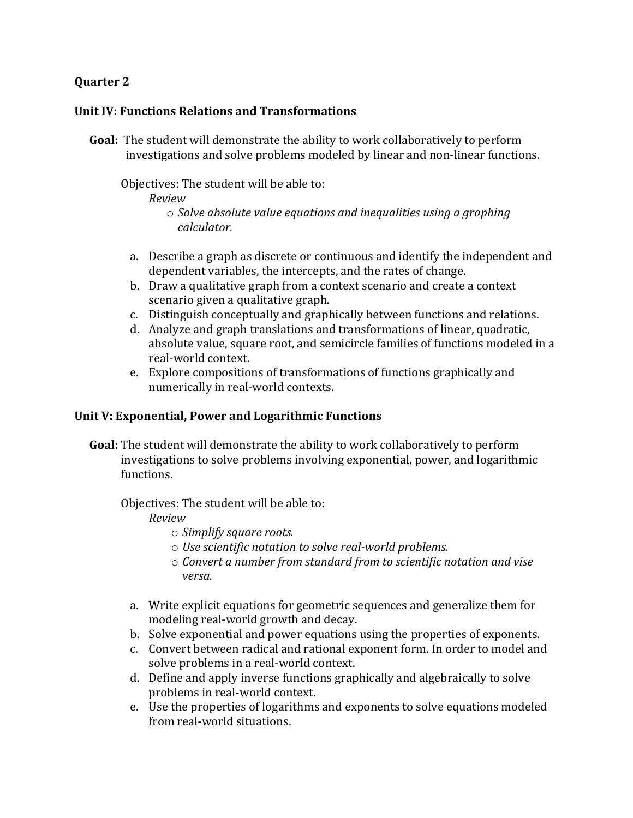# **Quarter 2**

#### **Unit IV: Functions Relations and Transformations**

**Goal:** The student will demonstrate the ability to work collaboratively to perform investigations and solve problems modeled by linear and non-linear functions.

Objectives: The student will be able to:

*Review*

```
o Solve)absolute)value)equations)and)inequalities)using)a)graphing)
calculator.
```
- a. Describe a graph as discrete or continuous and identify the independent and dependent variables, the intercepts, and the rates of change.
- b. Draw a qualitative graph from a context scenario and create a context scenario given a qualitative graph.
- c. Distinguish conceptually and graphically between functions and relations.
- d. Analyze and graph translations and transformations of linear, quadratic, absolute value, square root, and semicircle families of functions modeled in a real-world context.
- e. Explore compositions of transformations of functions graphically and numerically in real-world contexts.

## Unit V: Exponential, Power and Logarithmic Functions

**Goal:** The student will demonstrate the ability to work collaboratively to perform investigations to solve problems involving exponential, power, and logarithmic functions.

Objectives: The student will be able to:

*Review*

- $\circ$  *Simplify square roots.*
- $\circ$  *Use scientific notation to solve real-world problems.*
- o *Convert)a)number)from)standard)from)to)scientific)notation)and)vise) versa.*
- a. Write explicit equations for geometric sequences and generalize them for modeling real-world growth and decay.
- b. Solve exponential and power equations using the properties of exponents.
- c. Convert between radical and rational exponent form. In order to model and solve problems in a real-world context.
- d. Define and apply inverse functions graphically and algebraically to solve problems in real-world context.
- e. Use the properties of logarithms and exponents to solve equations modeled from real-world situations.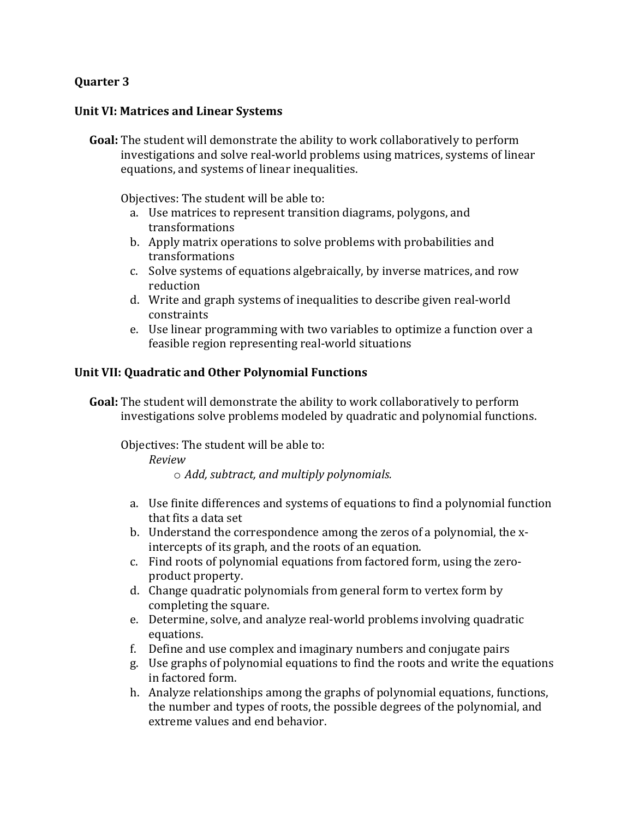# **Quarter 3**

#### **Unit VI: Matrices and Linear Systems**

**Goal:** The student will demonstrate the ability to work collaboratively to perform investigations and solve real-world problems using matrices, systems of linear equations, and systems of linear inequalities.

Objectives: The student will be able to:

- a. Use matrices to represent transition diagrams, polygons, and transformations!
- b. Apply matrix operations to solve problems with probabilities and transformations!
- c. Solve systems of equations algebraically, by inverse matrices, and row reduction!
- d. Write and graph systems of inequalities to describe given real-world constraints!
- e. Use linear programming with two variables to optimize a function over a feasible region representing real-world situations

#### **Unit VII: Quadratic and Other Polynomial Functions**

**Goal:** The student will demonstrate the ability to work collaboratively to perform investigations solve problems modeled by quadratic and polynomial functions.

Objectives: The student will be able to:

*Review*

o *Add,)subtract,)and)multiply)polynomials.)*

- a. Use finite differences and systems of equations to find a polynomial function that fits a data set
- b. Understand the correspondence among the zeros of a polynomial, the xintercepts of its graph, and the roots of an equation.
- c. Find roots of polynomial equations from factored form, using the zeroproduct property.
- d. Change quadratic polynomials from general form to vertex form by completing the square.
- e. Determine, solve, and analyze real-world problems involving quadratic equations.
- f. Define and use complex and imaginary numbers and conjugate pairs
- g. Use graphs of polynomial equations to find the roots and write the equations in factored form.
- h. Analyze relationships among the graphs of polynomial equations, functions, the number and types of roots, the possible degrees of the polynomial, and extreme values and end behavior.